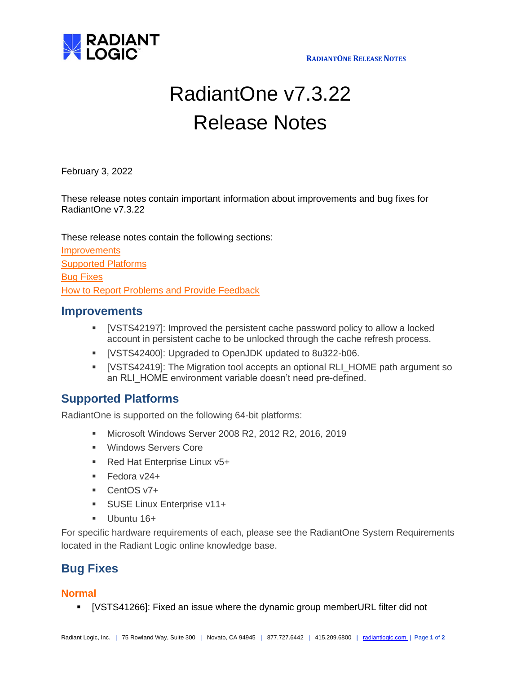

# RadiantOne v7.3.22 Release Notes

February 3, 2022

These release notes contain important information about improvements and bug fixes for RadiantOne v7.3.22

These release notes contain the following sections:

**[Improvements](#page-0-0)** [Supported Platforms](#page-0-1) [Bug Fixes](#page-0-2) [How to Report Problems and Provide Feedback](#page-1-0)

#### <span id="page-0-0"></span>**Improvements**

- [VSTS42197]: Improved the persistent cache password policy to allow a locked account in persistent cache to be unlocked through the cache refresh process.
- [VSTS42400]: Upgraded to OpenJDK updated to 8u322-b06.
- [VSTS42419]: The Migration tool accepts an optional RLI\_HOME path argument so an RLI\_HOME environment variable doesn't need pre-defined.

### <span id="page-0-1"></span>**Supported Platforms**

RadiantOne is supported on the following 64-bit platforms:

- Microsoft Windows Server 2008 R2, 2012 R2, 2016, 2019
- Windows Servers Core
- Red Hat Enterprise Linux v5+
- Fedora v24+
- CentOS v7+
- **EXECUSE Linux Enterprise v11+**
- **■** Ubuntu 16+

For specific hardware requirements of each, please see the RadiantOne System Requirements located in the Radiant Logic online knowledge base.

## <span id="page-0-2"></span>**Bug Fixes**

#### **Normal**

▪ [VSTS41266]: Fixed an issue where the dynamic group memberURL filter did not